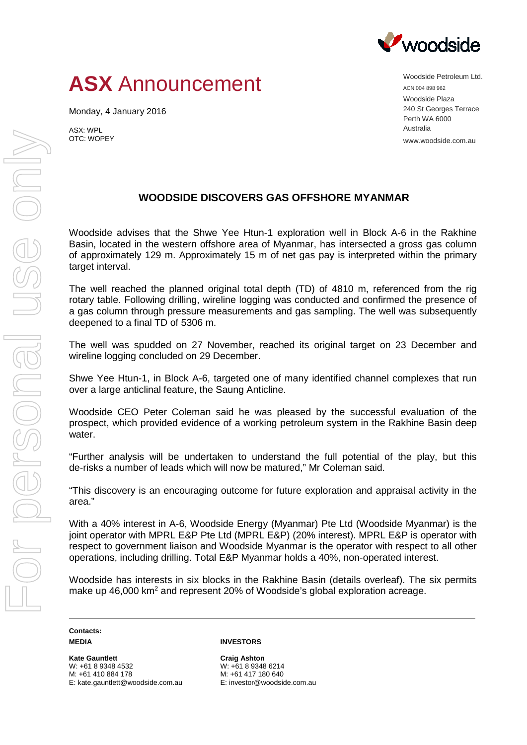

## **ASX** Announcement

Monday, 4 January 2016

ASX: WPL OTC: WOPEY Woodside Petroleum Ltd. ACN 004 898 962 Woodside Plaza 240 St Georges Terrace Perth WA 6000 Australia www.woodside.com.au

## **WOODSIDE DISCOVERS GAS OFFSHORE MYANMAR**

Woodside advises that the Shwe Yee Htun-1 exploration well in Block A-6 in the Rakhine Basin, located in the western offshore area of Myanmar, has intersected a gross gas column of approximately 129 m. Approximately 15 m of net gas pay is interpreted within the primary target interval.

The well reached the planned original total depth (TD) of 4810 m, referenced from the rig rotary table. Following drilling, wireline logging was conducted and confirmed the presence of a gas column through pressure measurements and gas sampling. The well was subsequently deepened to a final TD of 5306 m.

The well was spudded on 27 November, reached its original target on 23 December and wireline logging concluded on 29 December.

Shwe Yee Htun-1, in Block A-6, targeted one of many identified channel complexes that run over a large anticlinal feature, the Saung Anticline.

Woodside CEO Peter Coleman said he was pleased by the successful evaluation of the prospect, which provided evidence of a working petroleum system in the Rakhine Basin deep water.

"Further analysis will be undertaken to understand the full potential of the play, but this de-risks a number of leads which will now be matured," Mr Coleman said.

"This discovery is an encouraging outcome for future exploration and appraisal activity in the area."

With a 40% interest in A-6, Woodside Energy (Myanmar) Pte Ltd (Woodside Myanmar) is the joint operator with MPRL E&P Pte Ltd (MPRL E&P) (20% interest). MPRL E&P is operator with respect to government liaison and Woodside Myanmar is the operator with respect to all other operations, including drilling. Total E&P Myanmar holds a 40%, non-operated interest.

Woodside has interests in six blocks in the Rakhine Basin (details overleaf). The six permits make up 46,000 km<sup>2</sup> and represent 20% of Woodside's global exploration acreage.

**Contacts: MEDIA**

**Kate Gauntlett** W: +61 8 9348 4532 M: +61 410 884 178 E: kate.gauntlett@woodside.com.au

## **INVESTORS**

**Craig Ashton** W: +61 8 9348 6214 M: +61 417 180 640 E: investor@woodside.com.au